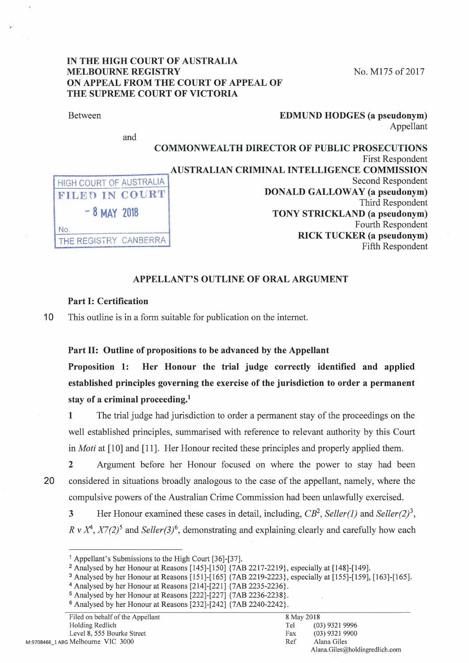# IN THE HIGH COURT OF AUSTRALIA MELBOURNE REGISTRY No. M175 of 2017 ON APPEAL FROM THE COURT OF APPEAL OF THE SUPREME COURT OF VICTORIA

#### Between

and

### EDMUND HODGES (a pseudonym) Appellant

|                         | <b>COMMONWEALTH DIRECTOR OF PUBLIC PROSECUTIONS</b> |
|-------------------------|-----------------------------------------------------|
|                         | <b>First Respondent</b>                             |
|                         | AUSTRALIAN CRIMINAL INTELLIGENCE COMMISSION         |
| HIGH COURT OF AUSTRALIA | Second Respondent                                   |
| FILED IN COURT          | <b>DONALD GALLOWAY</b> (a pseudonym)                |
|                         | Third Respondent                                    |
| $-8$ MAY 2018           | TONY STRICKLAND (a pseudonym)                       |
| No                      | Fourth Respondent                                   |
| THE REGISTRY CANBERRA   | <b>RICK TUCKER</b> (a pseudonym)                    |
|                         | Fifth Respondent                                    |
|                         |                                                     |

# APPELLANT'S OUTLINE OF ORAL ARGUMENT

# Part I: Certification

10 This outline is in a form suitable for publication on the internet.

### Part 11: Outline of propositions to be advanced by the Appellant

Proposition 1: Her Honour the trial judge correctly identified and applied established principles governing the exercise of the jurisdiction to order a permanent stay of a criminal proceeding.<sup>1</sup>

1 The trial judge had jurisdiction to order a permanent stay of the proceedings on the well established principles, summarised with reference to relevant authority by this Court in *Moti* at [10] and [11]. Her Honour recited these principles and properly applied them.

2 Argument before her Honour focused on where the power to stay had been 20 considered in situations broadly analogous to the case of the appellant, namely, where the compulsive powers of the Australian Crime Commission had been unlawfully exercised.

3 Her Honour examined these cases in detail, including, *CB2, Seller(l)* and *Seller(2) 3, R v*  $X^4$ *,*  $X7(2)^5$  and *Seller(3)<sup>6</sup>*, demonstrating and explaining clearly and carefully how each

<sup>&</sup>lt;sup>1</sup> Appellant's Submissions to the High Court [36]-[37].<br><sup>2</sup> Analysed by her Honour at Reasons [145]-[150] {7AB 2217-2219}, especially at [148]-[149].

<sup>&</sup>lt;sup>3</sup> Analysed by her Honour at Reasons [151]-[165]  $\{7AB 2219-2223\}$ , especially at [155]-[159], [163]-[165].<br><sup>4</sup> Analysed by her Honour at Reasons [214]-[221]  $\{7AB 2235-2236\}$ .<br><sup>5</sup> Analysed by her Honour at Reasons [22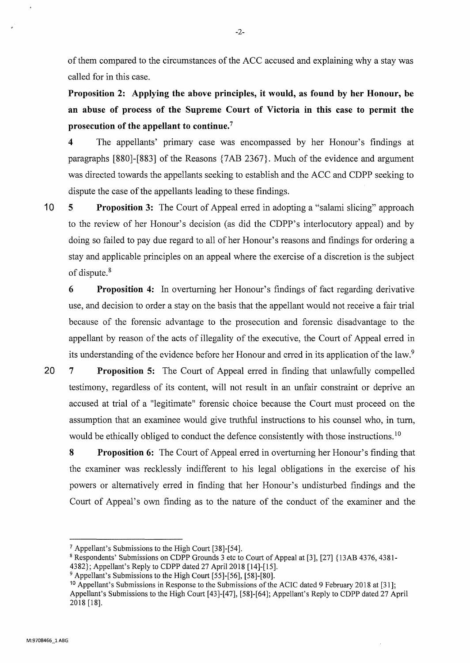of them compared to the circumstances of the ACC accused and explaining why a stay was called for in this case.

**Proposition 2: Applying the above principles, it would, as found by her Honour, be an abuse of process of the Supreme Court of Victoria in this case to permit the prosecution of the appellant to continue.** <sup>7</sup>

**4** The appellants' primary case was encompassed by her Honour's findings at paragraphs [880]-[883] of the Reasons {7 AB 2367}. Much of the evidence and argument was directed towards the appellants seeking to establish and the ACC and CDPP seeking to dispute the case of the appellants leading to these findings.

**10 5 Proposition 3:** The Court of Appeal erred in adopting a "salami slicing" approach to the review of her Honour's decision (as did the CDPP's interlocutory appeal) and by doing so failed to pay due regard to all of her Honour's reasons and findings for ordering a stay and applicable principles on an appeal where the exercise of a discretion is the subject of dispute. 8

**6 Proposition 4:** In overturning her Honour's findings of fact regarding derivative use, and decision to order a stay on the basis that the appellant would not receive a fair trial because of the forensic advantage to the prosecution and forensic disadvantage to the appellant by reason of the acts of illegality of the executive, the Court of Appeal erred in its understanding of the evidence before her Honour and erred in its application of the law.<sup>9</sup>

**20 7 Proposition 5:** The Court of Appeal erred in finding that unlawfully compelled testimony, regardless of its content, will not result in an unfair constraint or deprive an accused at trial of a "legitimate" forensic choice because the Court must proceed on the assumption that an examinee would give truthful instructions to his counsel who, in turn, would be ethically obliged to conduct the defence consistently with those instructions.<sup>10</sup>

**8 Proposition 6:** The Court of Appeal erred in overturning her Honour's finding that the examiner was recklessly indifferent to his legal obligations in the exercise of his powers or alternatively erred in finding that her Honour's undisturbed findings and the Court of Appeal's own finding as to the nature of the conduct of the examiner and the

<sup>&</sup>lt;sup>7</sup> Appellant's Submissions to the High Court [38]-[54].<br><sup>8</sup> Respondents' Submissions on CDPP Grounds 3 etc to Court of Appeal at [3], [27] {13AB 4376, 4381-4382}; Appellant's Reply to CDPP dated 27 April 2018 [14]-[15].

 $9$  Appellant's Submissions to the High Court [55]-[56], [58]-[80].

<sup>10</sup> Appellant's Submissions in Response to the Submissions of the ACIC dated 9 February 2018 at [31]; Appellant's Submissions to the High Court [43]-[47], [58]-[64]; Appellant's Reply to CDPP dated 27 April 2018 [18].